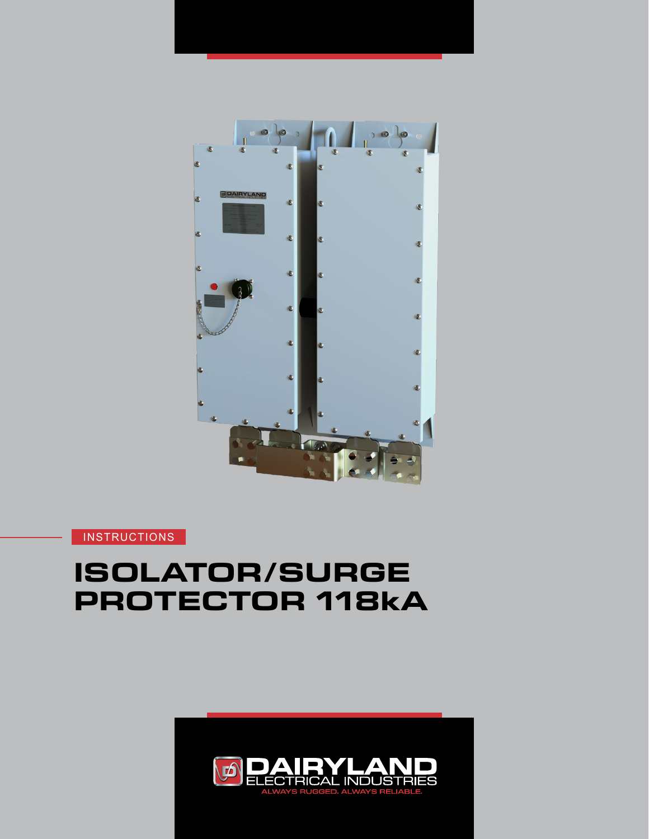

# **ISOLATOR/SURGE PROTECTOR 118kA**

**INSTRUCTIONS** 

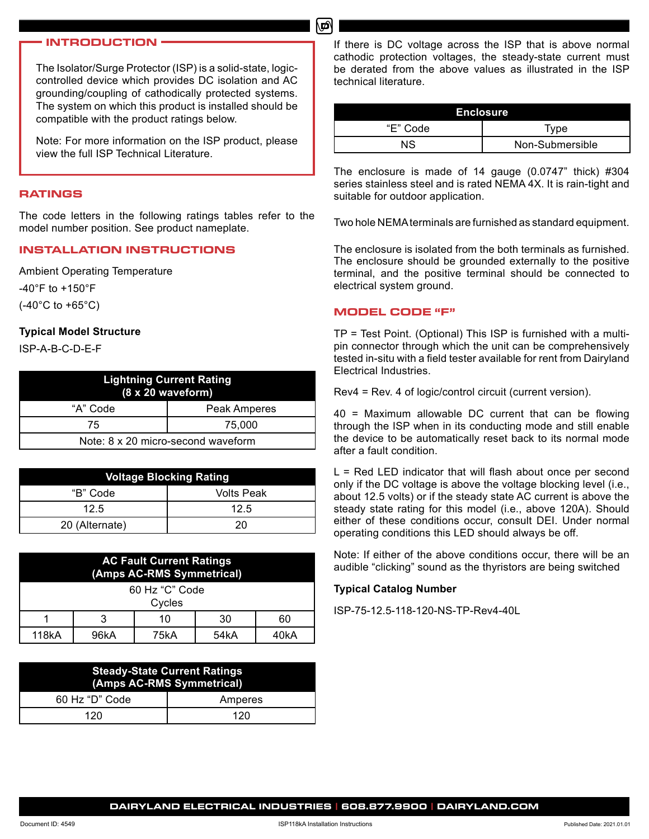#### **INTRODUCTION**

The Isolator/Surge Protector (ISP) is a solid-state, logiccontrolled device which provides DC isolation and AC grounding/coupling of cathodically protected systems. The system on which this product is installed should be compatible with the product ratings below.

Note: For more information on the ISP product, please view the full ISP Technical Literature.

#### **RATINGS**

The code letters in the following ratings tables refer to the model number position. See product nameplate.

#### **INSTALLATION INSTRUCTIONS**

Ambient Operating Temperature -40°F to +150°F (-40°C to +65°C)

#### **Typical Model Structure**

ISP-A-B-C-D-E-F

| <b>Lightning Current Rating</b><br>$(8 \times 20$ waveform) |              |  |  |
|-------------------------------------------------------------|--------------|--|--|
| "A" Code                                                    | Peak Amperes |  |  |
| 75                                                          | 75.000       |  |  |
| Note: 8 x 20 micro-second waveform                          |              |  |  |

| <b>Voltage Blocking Rating</b> |                   |  |  |
|--------------------------------|-------------------|--|--|
| "B" Code                       | <b>Volts Peak</b> |  |  |
| 12.5                           | 12.5              |  |  |
| 20 (Alternate)                 | 20                |  |  |

| <b>AC Fault Current Ratings</b><br>(Amps AC-RMS Symmetrical) |      |      |      |      |
|--------------------------------------------------------------|------|------|------|------|
| 60 Hz "C" Code<br>Cycles                                     |      |      |      |      |
|                                                              |      | 10   | 30   | 60   |
| 118kA                                                        | 96kA | 75kA | 54kA | 40kA |

| <b>Steady-State Current Ratings</b><br>(Amps AC-RMS Symmetrical) |         |  |
|------------------------------------------------------------------|---------|--|
| 60 Hz "D" Code                                                   | Amperes |  |
| 120                                                              | 120     |  |

If there is DC voltage across the ISP that is above normal cathodic protection voltages, the steady-state current must be derated from the above values as illustrated in the ISP technical literature.

| Enclosure |                 |  |  |
|-----------|-----------------|--|--|
| "E" Code  | Type            |  |  |
| ΝS        | Non-Submersible |  |  |

The enclosure is made of 14 gauge (0.0747" thick) #304 series stainless steel and is rated NEMA 4X. It is rain-tight and suitable for outdoor application.

Two hole NEMA terminals are furnished as standard equipment.

The enclosure is isolated from the both terminals as furnished. The enclosure should be grounded externally to the positive terminal, and the positive terminal should be connected to electrical system ground.

#### **MODEL CODE "F"**

மி

TP = Test Point. (Optional) This ISP is furnished with a multipin connector through which the unit can be comprehensively tested in-situ with a field tester available for rent from Dairyland Electrical Industries.

Rev4 = Rev. 4 of logic/control circuit (current version).

40 = Maximum allowable DC current that can be flowing through the ISP when in its conducting mode and still enable the device to be automatically reset back to its normal mode after a fault condition.

 $L = Red LED$  indicator that will flash about once per second only if the DC voltage is above the voltage blocking level (i.e., about 12.5 volts) or if the steady state AC current is above the steady state rating for this model (i.e., above 120A). Should either of these conditions occur, consult DEI. Under normal operating conditions this LED should always be off.

Note: If either of the above conditions occur, there will be an audible "clicking" sound as the thyristors are being switched

#### **Typical Catalog Number**

ISP-75-12.5-118-120-NS-TP-Rev4-40L

**DAIRYLAND ELECTRICAL INDUSTRIES | 608.877.9900 | DAIRYLAND.COM**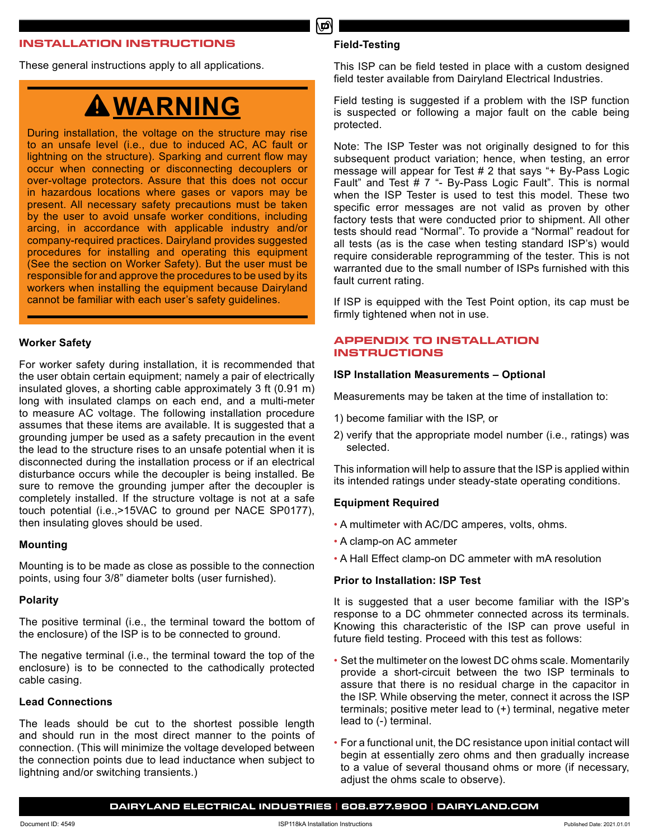#### **INSTALLATION INSTRUCTIONS**

These general instructions apply to all applications.

# **WARNING**

During installation, the voltage on the structure may rise to an unsafe level (i.e., due to induced AC, AC fault or lightning on the structure). Sparking and current flow may occur when connecting or disconnecting decouplers or over-voltage protectors. Assure that this does not occur in hazardous locations where gases or vapors may be present. All necessary safety precautions must be taken by the user to avoid unsafe worker conditions, including arcing, in accordance with applicable industry and/or company-required practices. Dairyland provides suggested procedures for installing and operating this equipment (See the section on Worker Safety). But the user must be responsible for and approve the procedures to be used by its workers when installing the equipment because Dairyland cannot be familiar with each user's safety guidelines.

#### **Worker Safety**

For worker safety during installation, it is recommended that the user obtain certain equipment; namely a pair of electrically insulated gloves, a shorting cable approximately 3 ft (0.91 m) long with insulated clamps on each end, and a multi-meter to measure AC voltage. The following installation procedure assumes that these items are available. It is suggested that a grounding jumper be used as a safety precaution in the event the lead to the structure rises to an unsafe potential when it is disconnected during the installation process or if an electrical disturbance occurs while the decoupler is being installed. Be sure to remove the grounding jumper after the decoupler is completely installed. If the structure voltage is not at a safe touch potential (i.e.,>15VAC to ground per NACE SP0177), then insulating gloves should be used.

#### **Mounting**

Mounting is to be made as close as possible to the connection points, using four 3/8" diameter bolts (user furnished).

#### **Polarity**

The positive terminal (i.e., the terminal toward the bottom of the enclosure) of the ISP is to be connected to ground.

The negative terminal (i.e., the terminal toward the top of the enclosure) is to be connected to the cathodically protected cable casing.

#### **Lead Connections**

The leads should be cut to the shortest possible length and should run in the most direct manner to the points of connection. (This will minimize the voltage developed between the connection points due to lead inductance when subject to lightning and/or switching transients.)

#### **Field-Testing**

டி

This ISP can be field tested in place with a custom designed field tester available from Dairyland Electrical Industries.

Field testing is suggested if a problem with the ISP function is suspected or following a major fault on the cable being protected.

Note: The ISP Tester was not originally designed to for this subsequent product variation; hence, when testing, an error message will appear for Test # 2 that says "+ By-Pass Logic Fault" and Test # 7 "- By-Pass Logic Fault". This is normal when the ISP Tester is used to test this model. These two specific error messages are not valid as proven by other factory tests that were conducted prior to shipment. All other tests should read "Normal". To provide a "Normal" readout for all tests (as is the case when testing standard ISP's) would require considerable reprogramming of the tester. This is not warranted due to the small number of ISPs furnished with this fault current rating.

If ISP is equipped with the Test Point option, its cap must be firmly tightened when not in use.

## **APPENDIX TO INSTALLATION INSTRUCTIONS**

#### **ISP Installation Measurements – Optional**

Measurements may be taken at the time of installation to:

- 1) become familiar with the ISP, or
- 2) verify that the appropriate model number (i.e., ratings) was selected.

This information will help to assure that the ISP is applied within its intended ratings under steady-state operating conditions.

#### **Equipment Required**

- A multimeter with AC/DC amperes, volts, ohms.
- A clamp-on AC ammeter
- A Hall Effect clamp-on DC ammeter with mA resolution

# **Prior to Installation: ISP Test**

It is suggested that a user become familiar with the ISP's response to a DC ohmmeter connected across its terminals. Knowing this characteristic of the ISP can prove useful in future field testing. Proceed with this test as follows:

- Set the multimeter on the lowest DC ohms scale. Momentarily provide a short-circuit between the two ISP terminals to assure that there is no residual charge in the capacitor in the ISP. While observing the meter, connect it across the ISP terminals; positive meter lead to (+) terminal, negative meter lead to (-) terminal.
- For a functional unit, the DC resistance upon initial contact will begin at essentially zero ohms and then gradually increase to a value of several thousand ohms or more (if necessary, adjust the ohms scale to observe).

**DAIRYLAND ELECTRICAL INDUSTRIES | 608.877.9900 | DAIRYLAND.COM**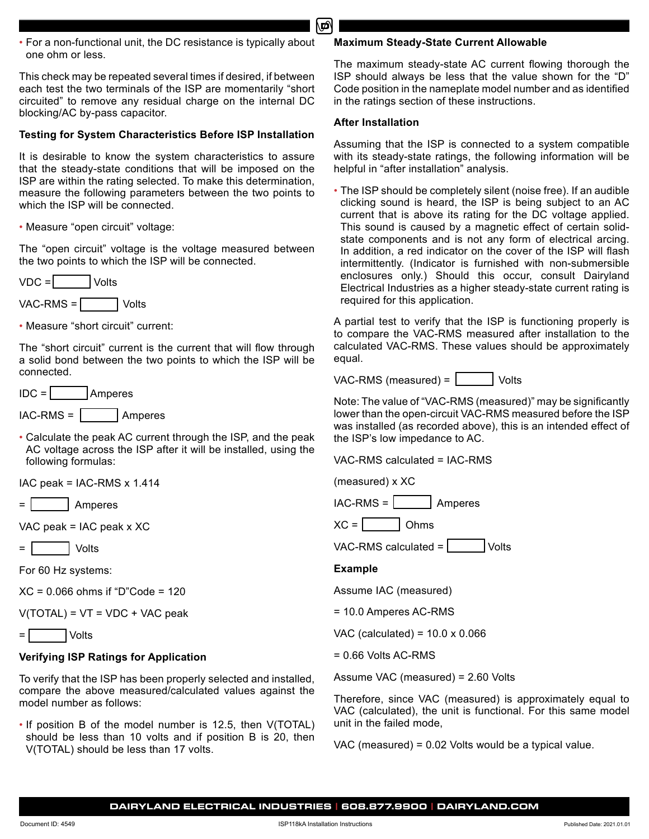• For a non-functional unit, the DC resistance is typically about one ohm or less.

This check may be repeated several times if desired, if between each test the two terminals of the ISP are momentarily "short circuited" to remove any residual charge on the internal DC blocking/AC by-pass capacitor.

# **Testing for System Characteristics Before ISP Installation**

It is desirable to know the system characteristics to assure that the steady-state conditions that will be imposed on the ISP are within the rating selected. To make this determination, measure the following parameters between the two points to which the ISP will be connected.

• Measure "open circuit" voltage:

The "open circuit" voltage is the voltage measured between the two points to which the ISP will be connected.

VDC = Volts

VAC-RMS = | Volts

• Measure "short circuit" current:

The "short circuit" current is the current that will flow through a solid bond between the two points to which the ISP will be connected.

 $IDC = |$  Amperes

$$
IAC-RMS = \boxed{\qquad} \text{Amperes}
$$

• Calculate the peak AC current through the ISP, and the peak AC voltage across the ISP after it will be installed, using the following formulas:

IAC peak = IAC-RMS x 1.414

Amperes

VAC peak  $=$  IAC peak x XC

= Volts

For 60 Hz systems:

XC = 0.066 ohms if "D"Code = 120

 $V(TOTAL) = VT = VDC + VAC peak$ 

= Volts

# **Verifying ISP Ratings for Application**

To verify that the ISP has been properly selected and installed, compare the above measured/calculated values against the model number as follows:

• If position B of the model number is 12.5, then V(TOTAL) should be less than 10 volts and if position B is 20, then V(TOTAL) should be less than 17 volts.

#### **Maximum Steady-State Current Allowable**

The maximum steady-state AC current flowing thorough the ISP should always be less that the value shown for the "D" Code position in the nameplate model number and as identified in the ratings section of these instructions.

# **After Installation**

Assuming that the ISP is connected to a system compatible with its steady-state ratings, the following information will be helpful in "after installation" analysis.

• The ISP should be completely silent (noise free). If an audible clicking sound is heard, the ISP is being subject to an AC current that is above its rating for the DC voltage applied. This sound is caused by a magnetic effect of certain solidstate components and is not any form of electrical arcing. In addition, a red indicator on the cover of the ISP will flash intermittently. (Indicator is furnished with non-submersible enclosures only.) Should this occur, consult Dairyland Electrical Industries as a higher steady-state current rating is required for this application.

A partial test to verify that the ISP is functioning properly is to compare the VAC-RMS measured after installation to the calculated VAC-RMS. These values should be approximately equal.

 $VAC-RMS$  (measured) =  $|$  Volts

Note: The value of "VAC-RMS (measured)" may be significantly lower than the open-circuit VAC-RMS measured before the ISP was installed (as recorded above), this is an intended effect of the ISP's low impedance to AC.

VAC-RMS calculated = IAC-RMS

(measured) x XC

 $IAC-RMS = \n\begin{bmatrix}\n\end{bmatrix}$  Amperes

 $XC =$  | Ohms

VAC-RMS calculated  $=$   $\vert$  Volts

## **Example**

Assume IAC (measured)

= 10.0 Amperes AC-RMS

VAC (calculated) = 10.0 x 0.066

= 0.66 Volts AC-RMS

Assume VAC (measured) = 2.60 Volts

Therefore, since VAC (measured) is approximately equal to VAC (calculated), the unit is functional. For this same model unit in the failed mode,

VAC (measured) = 0.02 Volts would be a typical value.